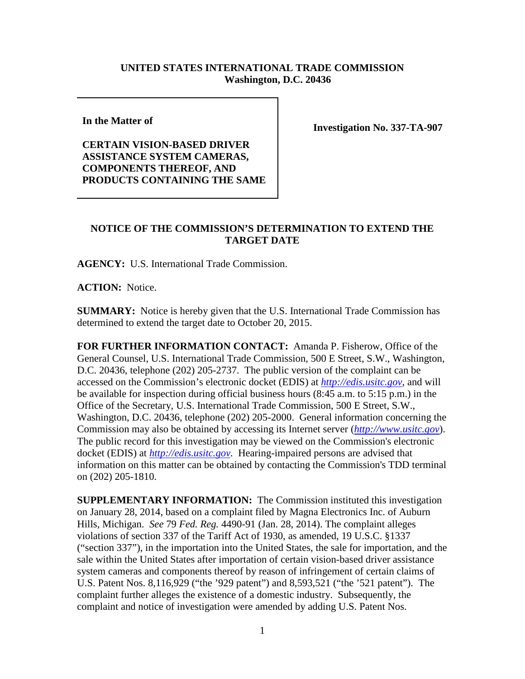## **UNITED STATES INTERNATIONAL TRADE COMMISSION Washington, D.C. 20436**

**In the Matter of** 

**CERTAIN VISION-BASED DRIVER ASSISTANCE SYSTEM CAMERAS, COMPONENTS THEREOF, AND PRODUCTS CONTAINING THE SAME** **Investigation No. 337-TA-907**

## **NOTICE OF THE COMMISSION'S DETERMINATION TO EXTEND THE TARGET DATE**

**AGENCY:** U.S. International Trade Commission.

**ACTION:** Notice.

**SUMMARY:** Notice is hereby given that the U.S. International Trade Commission has determined to extend the target date to October 20, 2015.

**FOR FURTHER INFORMATION CONTACT:** Amanda P. Fisherow, Office of the General Counsel, U.S. International Trade Commission, 500 E Street, S.W., Washington, D.C. 20436, telephone (202) 205-2737. The public version of the complaint can be accessed on the Commission's electronic docket (EDIS) at *[http://edis.usitc.gov](http://edis.usitc.gov/)*, and will be available for inspection during official business hours (8:45 a.m. to 5:15 p.m.) in the Office of the Secretary, U.S. International Trade Commission, 500 E Street, S.W., Washington, D.C. 20436, telephone (202) 205-2000. General information concerning the Commission may also be obtained by accessing its Internet server (*[http://www.usitc.gov](http://www.usitc.gov/)*). The public record for this investigation may be viewed on the Commission's electronic docket (EDIS) at *[http://edis.usitc.gov.](http://edis.usitc.gov/)* Hearing-impaired persons are advised that information on this matter can be obtained by contacting the Commission's TDD terminal on (202) 205-1810.

**SUPPLEMENTARY INFORMATION:** The Commission instituted this investigation on January 28, 2014, based on a complaint filed by Magna Electronics Inc. of Auburn Hills, Michigan. *See* 79 *Fed. Reg.* 4490-91 (Jan. 28, 2014). The complaint alleges violations of section 337 of the Tariff Act of 1930, as amended, 19 U.S.C. §1337 ("section 337"), in the importation into the United States, the sale for importation, and the sale within the United States after importation of certain vision-based driver assistance system cameras and components thereof by reason of infringement of certain claims of U.S. Patent Nos. 8,116,929 ("the '929 patent") and 8,593,521 ("the '521 patent"). The complaint further alleges the existence of a domestic industry. Subsequently, the complaint and notice of investigation were amended by adding U.S. Patent Nos.